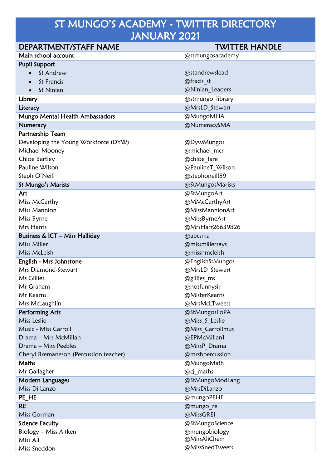## ST MUNGO'S ACADEMY - TWITTER DIRECTORY JANUARY 2021

| DEPARTMENT/STAFF NAME                     | <b>TWITTER HANDLE</b> |
|-------------------------------------------|-----------------------|
| Main school account                       | @stmungosacademy      |
| <b>Pupil Support</b>                      |                       |
| St Andrew                                 | @standrewslead        |
| St Francis<br>$\bullet$                   | @fracis st            |
| St Ninian<br>$\bullet$                    | @Ninian Leaders       |
| Library                                   | @stmungo library      |
| Literacy                                  | @MrsLD Stewart        |
| Mungo Mental Health Ambassadors           | @MungoMHA             |
| Numeracy                                  | @NumeracySMA          |
| Partnership Team                          |                       |
| Developing the Young Workforce (DYW)      | @DywMungos            |
| Michael Mooney                            | @michael mcr          |
| Chloe Bartley                             | @chloe fare           |
| Pauline Wilson                            | @PaulineT Wilson      |
| Steph O'Neill                             | @stephoneill89        |
| St Mungo's Marists                        | @StMungosMarists      |
| Art                                       | @StMungoArt           |
| Miss McCarthy                             | @MMcCarthyArt         |
| <b>Miss Mannion</b>                       | @MissMannionArt       |
| Miss Byrne                                | @MissByrneArt         |
| Mrs Harris                                | @MrsHarr26639826      |
| <b>Business &amp; ICT - Miss Halliday</b> | @abcsma               |
| Miss Miller                               | @missmillersays       |
| Miss McLeish                              | @missnmcleish         |
| English - Mrs Johnstone                   | @EnglishStMungos      |
| Mrs Diamond-Stewart                       | @MrsLD Stewart        |
| Ms Gillies                                | @gillies ms           |
| Mr Graham                                 | @notfunnysir          |
| Mr Kearns                                 | @MisterKearns         |
| Mrs McLaughlin                            | @MrsMcLTweets         |
| <b>Performing Arts</b>                    | @StMungosFoPA         |
| Miss Leslie                               | @Miss S Leslie        |
| Music - Miss Carroll                      | @Miss Carrollmus      |
| Drama - Mrs McMillan                      | @EPMcMillan1          |
| Drama - Miss Peebles                      | @MissP Drama          |
| Cheryl Bremaneson (Percussion teacher)    | @mrsbpercussion       |
| Maths                                     | @MungoMath            |
| Mr Gallagher                              | @cj maths             |
| Modern Languages                          | @StMungoModLang       |
| Miss Di Lanzo                             | @MrsDiLanzo           |
| PE HE                                     | @mungoPEHE            |
| <b>RE</b>                                 | @mungo re             |
| Miss Gorman                               | @MissGRE1             |
| <b>Science Faculty</b>                    | @StMungoScience       |
| Biology - Miss Aitken                     | @mungobiology         |
| Miss Ali                                  | @MissAliChem          |
| Miss Sneddon                              | @MissSnedTweets       |